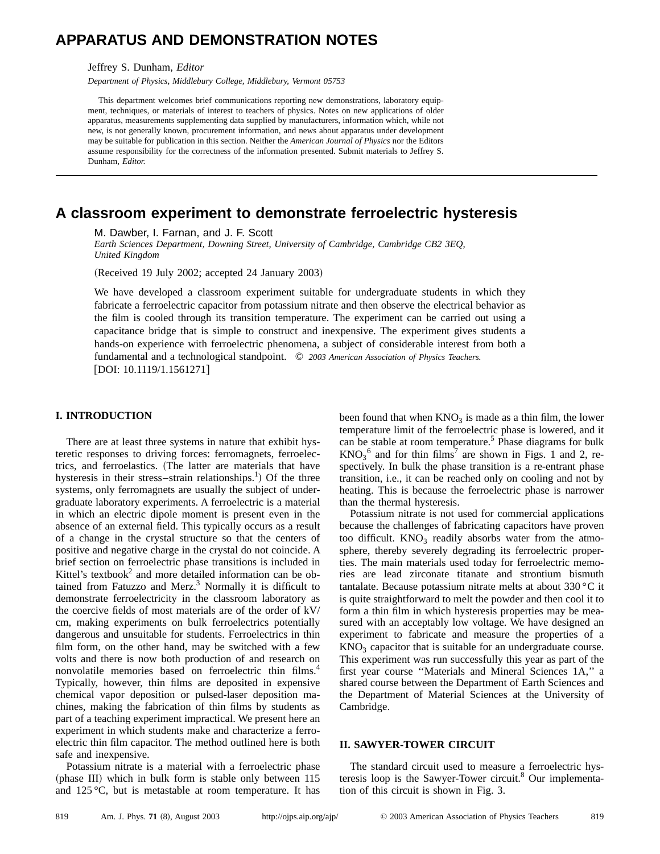# **APPARATUS AND DEMONSTRATION NOTES**

Jeffrey S. Dunham, *Editor*

*Department of Physics, Middlebury College, Middlebury, Vermont 05753*

This department welcomes brief communications reporting new demonstrations, laboratory equipment, techniques, or materials of interest to teachers of physics. Notes on new applications of older apparatus, measurements supplementing data supplied by manufacturers, information which, while not new, is not generally known, procurement information, and news about apparatus under development may be suitable for publication in this section. Neither the *American Journal of Physics* nor the Editors assume responsibility for the correctness of the information presented. Submit materials to Jeffrey S. Dunham, *Editor.*

## **A classroom experiment to demonstrate ferroelectric hysteresis**

M. Dawber, I. Farnan, and J. F. Scott

*Earth Sciences Department, Downing Street, University of Cambridge, Cambridge CB2 3EQ, United Kingdom*

(Received 19 July 2002; accepted 24 January 2003)

We have developed a classroom experiment suitable for undergraduate students in which they fabricate a ferroelectric capacitor from potassium nitrate and then observe the electrical behavior as the film is cooled through its transition temperature. The experiment can be carried out using a capacitance bridge that is simple to construct and inexpensive. The experiment gives students a hands-on experience with ferroelectric phenomena, a subject of considerable interest from both a fundamental and a technological standpoint. © *2003 American Association of Physics Teachers.* DOI: 10.1119/1.1561271

### **I. INTRODUCTION**

There are at least three systems in nature that exhibit hysteretic responses to driving forces: ferromagnets, ferroelectrics, and ferroelastics. The latter are materials that have hysteresis in their stress-strain relationships.<sup>1</sup>) Of the three systems, only ferromagnets are usually the subject of undergraduate laboratory experiments. A ferroelectric is a material in which an electric dipole moment is present even in the absence of an external field. This typically occurs as a result of a change in the crystal structure so that the centers of positive and negative charge in the crystal do not coincide. A brief section on ferroelectric phase transitions is included in Kittel's textbook<sup>2</sup> and more detailed information can be obtained from Fatuzzo and Merz. $3$  Normally it is difficult to demonstrate ferroelectricity in the classroom laboratory as the coercive fields of most materials are of the order of kV/ cm, making experiments on bulk ferroelectrics potentially dangerous and unsuitable for students. Ferroelectrics in thin film form, on the other hand, may be switched with a few volts and there is now both production of and research on nonvolatile memories based on ferroelectric thin films.<sup>4</sup> Typically, however, thin films are deposited in expensive chemical vapor deposition or pulsed-laser deposition machines, making the fabrication of thin films by students as part of a teaching experiment impractical. We present here an experiment in which students make and characterize a ferroelectric thin film capacitor. The method outlined here is both safe and inexpensive.

Potassium nitrate is a material with a ferroelectric phase (phase III) which in bulk form is stable only between 115 and 125 °C, but is metastable at room temperature. It has been found that when  $KNO_3$  is made as a thin film, the lower temperature limit of the ferroelectric phase is lowered, and it can be stable at room temperature.<sup>5</sup> Phase diagrams for bulk  $KNO_3^6$  and for thin films<sup>7</sup> are shown in Figs. 1 and 2, respectively. In bulk the phase transition is a re-entrant phase transition, i.e., it can be reached only on cooling and not by heating. This is because the ferroelectric phase is narrower than the thermal hysteresis.

Potassium nitrate is not used for commercial applications because the challenges of fabricating capacitors have proven too difficult.  $KNO_3$  readily absorbs water from the atmosphere, thereby severely degrading its ferroelectric properties. The main materials used today for ferroelectric memories are lead zirconate titanate and strontium bismuth tantalate. Because potassium nitrate melts at about 330 °C it is quite straightforward to melt the powder and then cool it to form a thin film in which hysteresis properties may be measured with an acceptably low voltage. We have designed an experiment to fabricate and measure the properties of a  $KNO<sub>3</sub>$  capacitor that is suitable for an undergraduate course. This experiment was run successfully this year as part of the first year course ''Materials and Mineral Sciences 1A,'' a shared course between the Department of Earth Sciences and the Department of Material Sciences at the University of Cambridge.

### **II. SAWYER-TOWER CIRCUIT**

The standard circuit used to measure a ferroelectric hysteresis loop is the Sawyer-Tower circuit.<sup>8</sup> Our implementation of this circuit is shown in Fig. 3.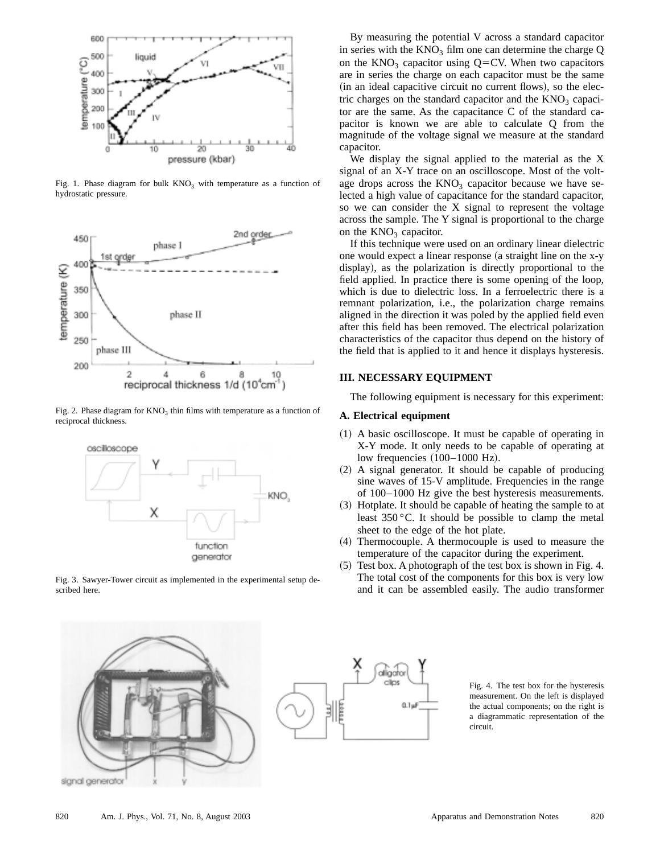

Fig. 1. Phase diagram for bulk  $KNO<sub>3</sub>$  with temperature as a function of hydrostatic pressure.



Fig. 2. Phase diagram for  $KNO_3$  thin films with temperature as a function of reciprocal thickness.



Fig. 3. Sawyer-Tower circuit as implemented in the experimental setup described here.



We display the signal applied to the material as the X signal of an X-Y trace on an oscilloscope. Most of the voltage drops across the  $KNO<sub>3</sub>$  capacitor because we have selected a high value of capacitance for the standard capacitor, so we can consider the X signal to represent the voltage across the sample. The Y signal is proportional to the charge on the  $KNO<sub>3</sub>$  capacitor.

If this technique were used on an ordinary linear dielectric one would expect a linear response (a straight line on the x-y display), as the polarization is directly proportional to the field applied. In practice there is some opening of the loop, which is due to dielectric loss. In a ferroelectric there is a remnant polarization, i.e., the polarization charge remains aligned in the direction it was poled by the applied field even after this field has been removed. The electrical polarization characteristics of the capacitor thus depend on the history of the field that is applied to it and hence it displays hysteresis.

#### **III. NECESSARY EQUIPMENT**

The following equipment is necessary for this experiment:

#### **A. Electrical equipment**

- (1) A basic oscilloscope. It must be capable of operating in X-Y mode. It only needs to be capable of operating at low frequencies (100–1000 Hz).
- (2) A signal generator. It should be capable of producing sine waves of 15-V amplitude. Frequencies in the range of 100–1000 Hz give the best hysteresis measurements.
- (3) Hotplate. It should be capable of heating the sample to at least 350 °C. It should be possible to clamp the metal sheet to the edge of the hot plate.
- (4) Thermocouple. A thermocouple is used to measure the temperature of the capacitor during the experiment.
- (5) Test box. A photograph of the test box is shown in Fig. 4. The total cost of the components for this box is very low and it can be assembled easily. The audio transformer





Fig. 4. The test box for the hysteresis measurement. On the left is displayed the actual components; on the right is a diagrammatic representation of the circuit.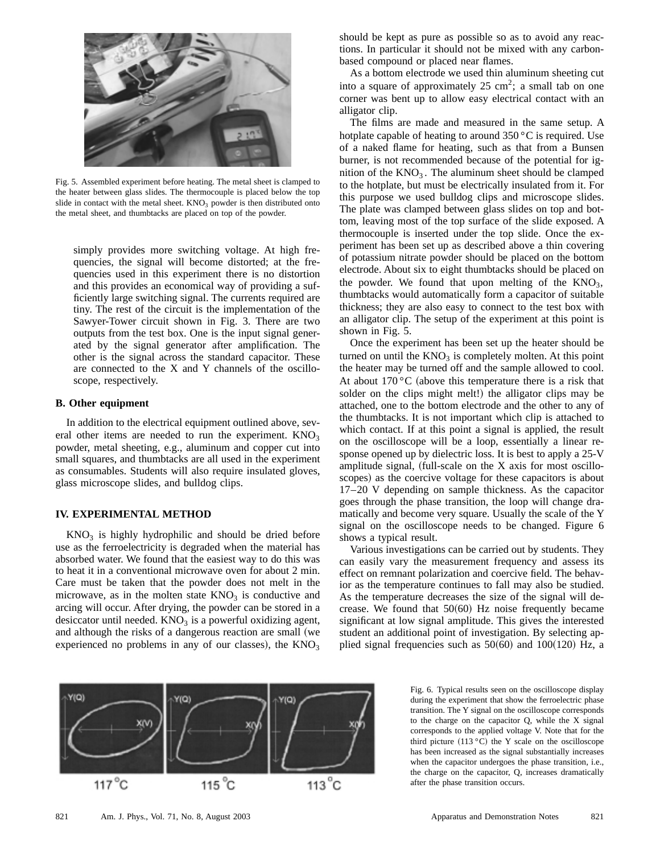

Fig. 5. Assembled experiment before heating. The metal sheet is clamped to the heater between glass slides. The thermocouple is placed below the top slide in contact with the metal sheet.  $KNO<sub>3</sub>$  powder is then distributed onto the metal sheet, and thumbtacks are placed on top of the powder.

simply provides more switching voltage. At high frequencies, the signal will become distorted; at the frequencies used in this experiment there is no distortion and this provides an economical way of providing a sufficiently large switching signal. The currents required are tiny. The rest of the circuit is the implementation of the Sawyer-Tower circuit shown in Fig. 3. There are two outputs from the test box. One is the input signal generated by the signal generator after amplification. The other is the signal across the standard capacitor. These are connected to the X and Y channels of the oscilloscope, respectively.

### **B. Other equipment**

In addition to the electrical equipment outlined above, several other items are needed to run the experiment.  $KNO<sub>3</sub>$ powder, metal sheeting, e.g., aluminum and copper cut into small squares, and thumbtacks are all used in the experiment as consumables. Students will also require insulated gloves, glass microscope slides, and bulldog clips.

#### **IV. EXPERIMENTAL METHOD**

 $KNO<sub>3</sub>$  is highly hydrophilic and should be dried before use as the ferroelectricity is degraded when the material has absorbed water. We found that the easiest way to do this was to heat it in a conventional microwave oven for about 2 min. Care must be taken that the powder does not melt in the microwave, as in the molten state  $KNO<sub>3</sub>$  is conductive and arcing will occur. After drying, the powder can be stored in a desiccator until needed.  $KNO<sub>3</sub>$  is a powerful oxidizing agent, and although the risks of a dangerous reaction are small (we experienced no problems in any of our classes), the  $\rm{KNO_3}$ 

should be kept as pure as possible so as to avoid any reactions. In particular it should not be mixed with any carbonbased compound or placed near flames.

As a bottom electrode we used thin aluminum sheeting cut into a square of approximately  $25 \text{ cm}^2$ ; a small tab on one corner was bent up to allow easy electrical contact with an alligator clip.

The films are made and measured in the same setup. A hotplate capable of heating to around 350 °C is required. Use of a naked flame for heating, such as that from a Bunsen burner, is not recommended because of the potential for ignition of the  $KNO_3$ . The aluminum sheet should be clamped to the hotplate, but must be electrically insulated from it. For this purpose we used bulldog clips and microscope slides. The plate was clamped between glass slides on top and bottom, leaving most of the top surface of the slide exposed. A thermocouple is inserted under the top slide. Once the experiment has been set up as described above a thin covering of potassium nitrate powder should be placed on the bottom electrode. About six to eight thumbtacks should be placed on the powder. We found that upon melting of the  $KNO<sub>3</sub>$ , thumbtacks would automatically form a capacitor of suitable thickness; they are also easy to connect to the test box with an alligator clip. The setup of the experiment at this point is shown in Fig. 5.

Once the experiment has been set up the heater should be turned on until the  $KNO<sub>3</sub>$  is completely molten. At this point the heater may be turned off and the sample allowed to cool. At about  $170\degree$ C (above this temperature there is a risk that solder on the clips might melt!) the alligator clips may be attached, one to the bottom electrode and the other to any of the thumbtacks. It is not important which clip is attached to which contact. If at this point a signal is applied, the result on the oscilloscope will be a loop, essentially a linear response opened up by dielectric loss. It is best to apply a 25-V amplitude signal, full-scale on the X axis for most oscilloscopes) as the coercive voltage for these capacitors is about 17–20 V depending on sample thickness. As the capacitor goes through the phase transition, the loop will change dramatically and become very square. Usually the scale of the Y signal on the oscilloscope needs to be changed. Figure 6 shows a typical result.

Various investigations can be carried out by students. They can easily vary the measurement frequency and assess its effect on remnant polarization and coercive field. The behavior as the temperature continues to fall may also be studied. As the temperature decreases the size of the signal will decrease. We found that  $50(60)$  Hz noise frequently became significant at low signal amplitude. This gives the interested student an additional point of investigation. By selecting applied signal frequencies such as  $50(60)$  and  $100(120)$  Hz, a



Fig. 6. Typical results seen on the oscilloscope display during the experiment that show the ferroelectric phase transition. The Y signal on the oscilloscope corresponds to the charge on the capacitor Q, while the X signal corresponds to the applied voltage V. Note that for the third picture  $(113 \degree C)$  the Y scale on the oscilloscope has been increased as the signal substantially increases when the capacitor undergoes the phase transition, i.e., the charge on the capacitor, Q, increases dramatically after the phase transition occurs.